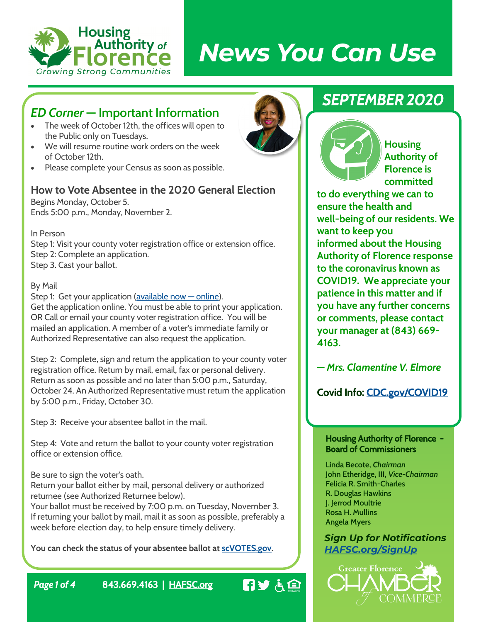

# *News You Can Use*

## *ED Corner* **— Important Information**

- The week of October 12th, the offices will open to the Public only on Tuesdays.
- We will resume routine work orders on the week of October 12th.
- Please complete your Census as soon as possible.

#### **How to Vote Absentee in the 2020 General Election**

Begins Monday, October 5. Ends 5:00 p.m., Monday, November 2.

In Person

Step 1: Visit your county voter registration office or extension office. Step 2: Complete an application. Step 3. Cast your ballot.

By Mail

Step 1: Get your application ( $\alpha$ vailable now  $-\alpha$  online). Get the application online. You must be able to print your application. OR Call or email your county voter registration office. You will be mailed an application. A member of a voter's immediate family or Authorized Representative can also request the application.

Step 2: Complete, sign and return the application to your county voter registration office. Return by mail, email, fax or personal delivery. Return as soon as possible and no later than 5:00 p.m., Saturday, October 24. An Authorized Representative must return the application by 5:00 p.m., Friday, October 30.

Step 3: Receive your absentee ballot in the mail.

Step 4: Vote and return the ballot to your county voter registration office or extension office.

Be sure to sign the voter's oath.

Return your ballot either by mail, personal delivery or authorized returnee (see Authorized Returnee below).

Your ballot must be received by 7:00 p.m. on Tuesday, November 3. If returning your ballot by mail, mail it as soon as possible, preferably a week before election day, to help ensure timely delivery.

**You can check the status of your absentee ballot at [scVOTES.gov.](https://scvotes.gov/)**

# *SEPTEMBER 2020*



**Housing Authority of Florence is committed** 

**to do everything we can to ensure the health and well-being of our residents. We want to keep you informed about the Housing Authority of Florence response to the coronavirus known as COVID19. We appreciate your patience in this matter and if you have any further concerns or comments, please contact your manager at (843) 669- 4163.**

*— Mrs. Clamentine V. Elmore*

Covid Info: [CDC.gov/COVID19](https://www.cdc.gov/coronavirus/2019-ncov/index.html)

#### Housing Authority of Florence - Board of Commissioners

**Linda Becote,** *Chairman* **John Etheridge, III,** *Vice-Chairman* **Felicia R. Smith-Charles R. Douglas Hawkins J. Jerrod Moultrie Rosa H. Mullins Angela Myers**

*Sign Up for Notifications [HAFSC.org/SignUp](https://www.hafsc.org/SignUp)*



*Page 1 of 4* 843.669.4163 | [HAFSC.org](https://www.hafsc.org/news)

日ンも国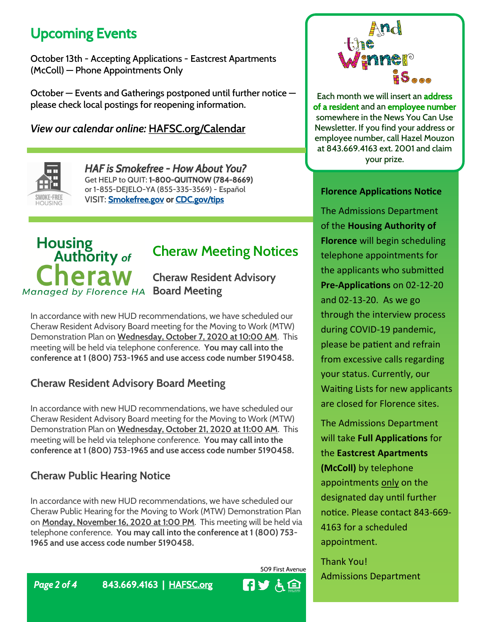# Upcoming Events

October 13th - Accepting Applications - Eastcrest Apartments (McColl) — Phone Appointments Only

October — Events and Gatherings postponed until further notice please check local postings for reopening information.

*View our calendar online:* **HAFSC.org/Calendar**



*HAF is Smokefree - How About You?* Get HELP to QUIT: 1-800-QUITNOW (784-8669) or 1-855-DEJELO-YA (855-335-3569) - Español VISIT: [Smokefree.gov](https://smokefree.gov/) or [CDC.gov/tips](https://www.cdc.gov/tobacco/campaign/tips/index.html)

# Housing<br>**Authority** of Cheraw **Managed by Florence HA Board Meeting**

# **Cheraw Meeting Notices**

**Cheraw Resident Advisory** 

In accordance with new HUD recommendations, we have scheduled our Cheraw Resident Advisory Board meeting for the Moving to Work (MTW) Demonstration Plan on **Wednesday, October 7, 2020 at 10:00 AM**. This meeting will be held via telephone conference. **You may call into the conference at 1 (800) 753-1965 and use access code number 5190458.**

#### **Cheraw Resident Advisory Board Meeting**

In accordance with new HUD recommendations, we have scheduled our Cheraw Resident Advisory Board meeting for the Moving to Work (MTW) Demonstration Plan on **Wednesday, October 21, 2020 at 11:00 AM**. This meeting will be held via telephone conference. **You may call into the conference at 1 (800) 753-1965 and use access code number 5190458.**

### **Cheraw Public Hearing Notice**

In accordance with new HUD recommendations, we have scheduled our Cheraw Public Hearing for the Moving to Work (MTW) Demonstration Plan on **Monday, November 16, 2020 at 1:00 PM**. This meeting will be held via telephone conference. **You may call into the conference at 1 (800) 753- 1965 and use access code number 5190458.**

509 First Avenue





Each month we will insert an address of a resident and an employee number somewhere in the News You Can Use Newsletter. If you find your address or employee number, call Hazel Mouzon at 843.669.4163 ext. 2001 and claim your prize.

#### **Florence Applications Notice**

The Admissions Department of the **Housing Authority of Florence** will begin scheduling telephone appointments for the applicants who submitted **Pre-Applications** on 02-12-20 and 02-13-20. As we go through the interview process during COVID-19 pandemic, please be patient and refrain from excessive calls regarding your status. Currently, our Waiting Lists for new applicants are closed for Florence sites.

The Admissions Department will take **Full Applications** for the **Eastcrest Apartments (McColl)** by telephone appointments only on the designated day until further notice. Please contact 843-669- 4163 for a scheduled appointment.

Thank You! Admissions Department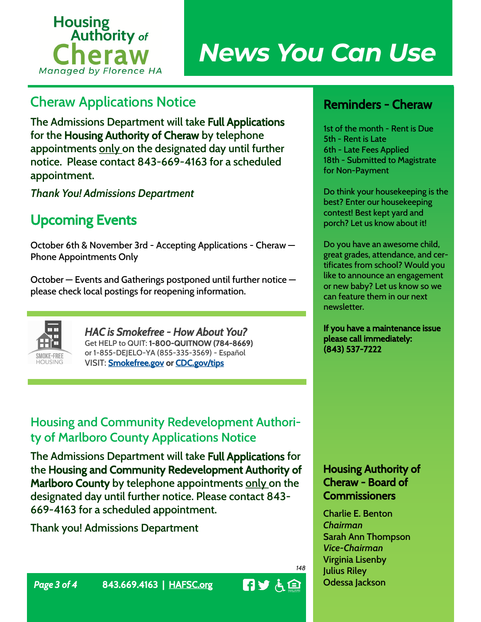

# *News You Can Use*

# **Cheraw Applications Notice**

**The Admissions Department will take** Full Applications **for the** Housing Authority of Cheraw **by telephone appointments only on the designated day until further notice. Please contact 843-669-4163 for a scheduled appointment.**

*Thank You! Admissions Department*

# Upcoming Events

October 6th & November 3rd - Accepting Applications - Cheraw — Phone Appointments Only

October — Events and Gatherings postponed until further notice please check local postings for reopening information.



*HAC is Smokefree - How About You?* Get HELP to QUIT: 1-800-QUITNOW (784-8669) or 1-855-DEJELO-YA (855-335-3569) - Español VISIT: **[Smokefree.gov](https://smokefree.gov/) or [CDC.gov/tips](https://www.cdc.gov/tobacco/campaign/tips/index.html)** 

## **Housing and Community Redevelopment Authority of Marlboro County Applications Notice**

**The Admissions Department will take** Full Applications **for the** Housing and Community Redevelopment Authority of Marlboro County **by telephone appointments only on the designated day until further notice. Please contact 843- 669-4163 for a scheduled appointment.**

**Thank you! Admissions Department**

## Reminders - Cheraw

1st of the month - Rent is Due 5th - Rent is Late 6th - Late Fees Applied 18th - Submitted to Magistrate for Non-Payment

Do think your housekeeping is the best? Enter our housekeeping contest! Best kept yard and porch? Let us know about it!

Do you have an awesome child, great grades, attendance, and certificates from school? Would you like to announce an engagement or new baby? Let us know so we can feature them in our next newsletter.

If you have a maintenance issue please call immediately: (843) 537-7222

#### Housing Authority of Cheraw - Board of **Commissioners**

**Charlie E. Benton** *Chairman* **Sarah Ann Thompson** *Vice-Chairman* **Virginia Lisenby Julius Riley Odessa Jackson**



*148*